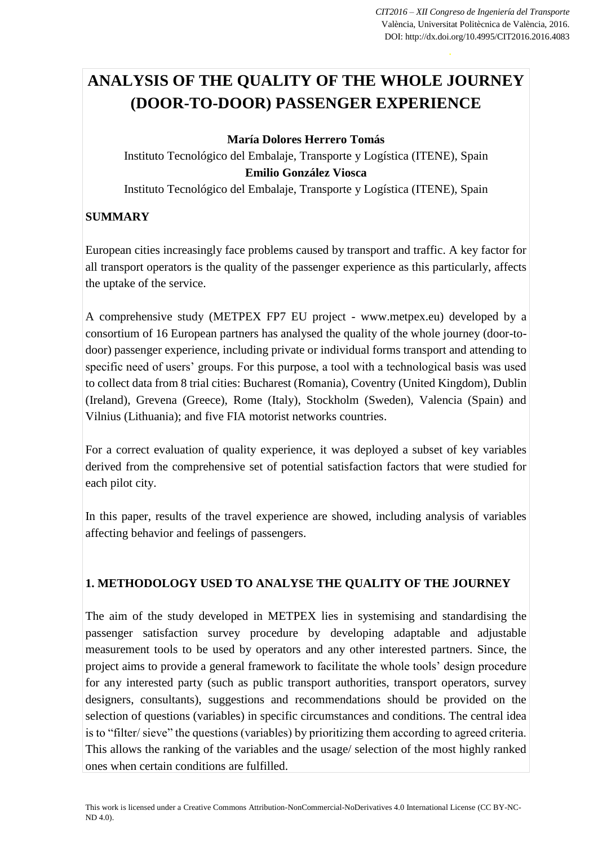# **ANALYSIS OF THE QUALITY OF THE WHOLE JOURNEY (DOOR-TO-DOOR) PASSENGER EXPERIENCE**

### **María Dolores Herrero Tomás**

Instituto Tecnológico del Embalaje, Transporte y Logística (ITENE), Spain **Emilio González Viosca** Instituto Tecnológico del Embalaje, Transporte y Logística (ITENE), Spain

# **SUMMARY**

European cities increasingly face problems caused by transport and traffic. A key factor for all transport operators is the quality of the passenger experience as this particularly, affects the uptake of the service.

A comprehensive study (METPEX FP7 EU project - www.metpex.eu) developed by a consortium of 16 European partners has analysed the quality of the whole journey (door-todoor) passenger experience, including private or individual forms transport and attending to specific need of users' groups. For this purpose, a tool with a technological basis was used to collect data from 8 trial cities: Bucharest (Romania), Coventry (United Kingdom), Dublin (Ireland), Grevena (Greece), Rome (Italy), Stockholm (Sweden), Valencia (Spain) and Vilnius (Lithuania); and five FIA motorist networks countries.

For a correct evaluation of quality experience, it was deployed a subset of key variables derived from the comprehensive set of potential satisfaction factors that were studied for each pilot city.

In this paper, results of the travel experience are showed, including analysis of variables affecting behavior and feelings of passengers.

# **1. METHODOLOGY USED TO ANALYSE THE QUALITY OF THE JOURNEY**

The aim of the study developed in METPEX lies in systemising and standardising the passenger satisfaction survey procedure by developing adaptable and adjustable measurement tools to be used by operators and any other interested partners. Since, the project aims to provide a general framework to facilitate the whole tools' design procedure for any interested party (such as public transport authorities, transport operators, survey designers, consultants), suggestions and recommendations should be provided on the selection of questions (variables) in specific circumstances and conditions. The central idea is to "filter/ sieve" the questions (variables) by prioritizing them according to agreed criteria. This allows the ranking of the variables and the usage/ selection of the most highly ranked ones when certain conditions are fulfilled.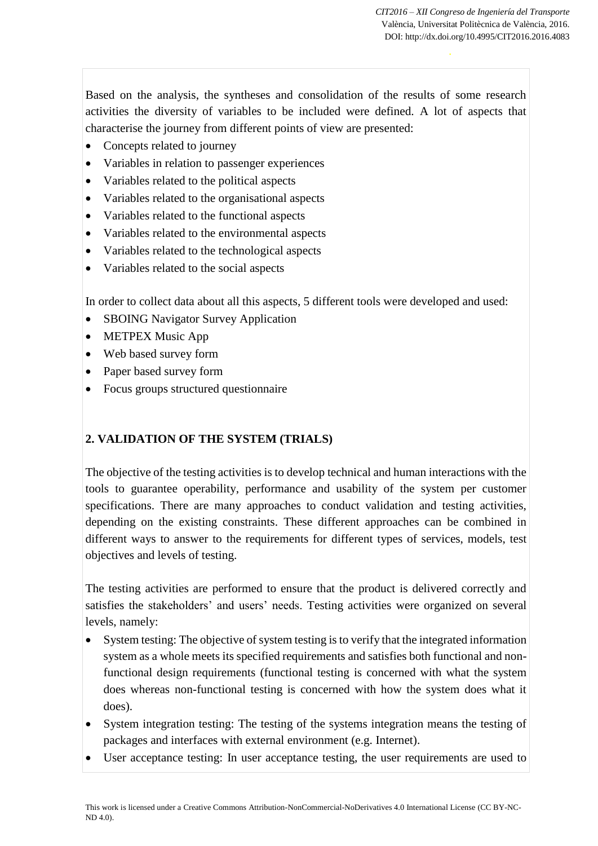Based on the analysis, the syntheses and consolidation of the results of some research activities the diversity of variables to be included were defined. A lot of aspects that characterise the journey from different points of view are presented:

- Concepts related to journey
- Variables in relation to passenger experiences
- Variables related to the political aspects
- Variables related to the organisational aspects
- Variables related to the functional aspects
- Variables related to the environmental aspects
- Variables related to the technological aspects
- Variables related to the social aspects

In order to collect data about all this aspects, 5 different tools were developed and used:

- SBOING Navigator Survey Application
- METPEX Music App
- Web based survey form
- Paper based survey form
- Focus groups structured questionnaire

# **2. VALIDATION OF THE SYSTEM (TRIALS)**

The objective of the testing activities is to develop technical and human interactions with the tools to guarantee operability, performance and usability of the system per customer specifications. There are many approaches to conduct validation and testing activities, depending on the existing constraints. These different approaches can be combined in different ways to answer to the requirements for different types of services, models, test objectives and levels of testing.

The testing activities are performed to ensure that the product is delivered correctly and satisfies the stakeholders' and users' needs. Testing activities were organized on several levels, namely:

- System testing: The objective of system testing is to verify that the integrated information system as a whole meets its specified requirements and satisfies both functional and nonfunctional design requirements (functional testing is concerned with what the system does whereas non-functional testing is concerned with how the system does what it does).
- System integration testing: The testing of the systems integration means the testing of packages and interfaces with external environment (e.g. Internet).
- User acceptance testing: In user acceptance testing, the user requirements are used to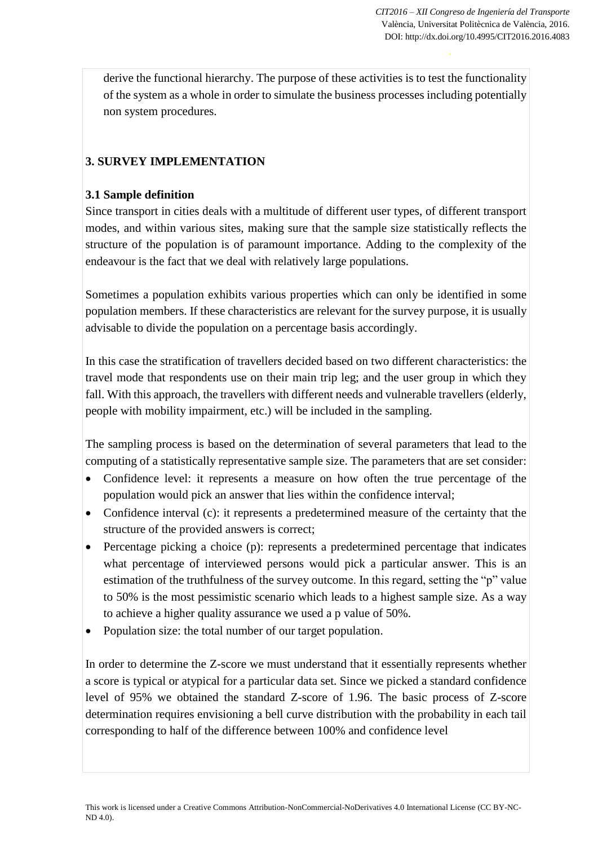derive the functional hierarchy. The purpose of these activities is to test the functionality of the system as a whole in order to simulate the business processes including potentially non system procedures.

# **3. SURVEY IMPLEMENTATION**

## **3.1 Sample definition**

Since transport in cities deals with a multitude of different user types, of different transport modes, and within various sites, making sure that the sample size statistically reflects the structure of the population is of paramount importance. Adding to the complexity of the endeavour is the fact that we deal with relatively large populations.

Sometimes a population exhibits various properties which can only be identified in some population members. If these characteristics are relevant for the survey purpose, it is usually advisable to divide the population on a percentage basis accordingly.

In this case the stratification of travellers decided based on two different characteristics: the travel mode that respondents use on their main trip leg; and the user group in which they fall. With this approach, the travellers with different needs and vulnerable travellers (elderly, people with mobility impairment, etc.) will be included in the sampling.

The sampling process is based on the determination of several parameters that lead to the computing of a statistically representative sample size. The parameters that are set consider:

- Confidence level: it represents a measure on how often the true percentage of the population would pick an answer that lies within the confidence interval;
- Confidence interval (c): it represents a predetermined measure of the certainty that the structure of the provided answers is correct;
- Percentage picking a choice (p): represents a predetermined percentage that indicates what percentage of interviewed persons would pick a particular answer. This is an estimation of the truthfulness of the survey outcome. In this regard, setting the "p" value to 50% is the most pessimistic scenario which leads to a highest sample size. As a way to achieve a higher quality assurance we used a p value of 50%.
- Population size: the total number of our target population.

In order to determine the Z-score we must understand that it essentially represents whether a score is typical or atypical for a particular data set. Since we picked a standard confidence level of 95% we obtained the standard Z-score of 1.96. The basic process of Z-score determination requires envisioning a bell curve distribution with the probability in each tail corresponding to half of the difference between 100% and confidence level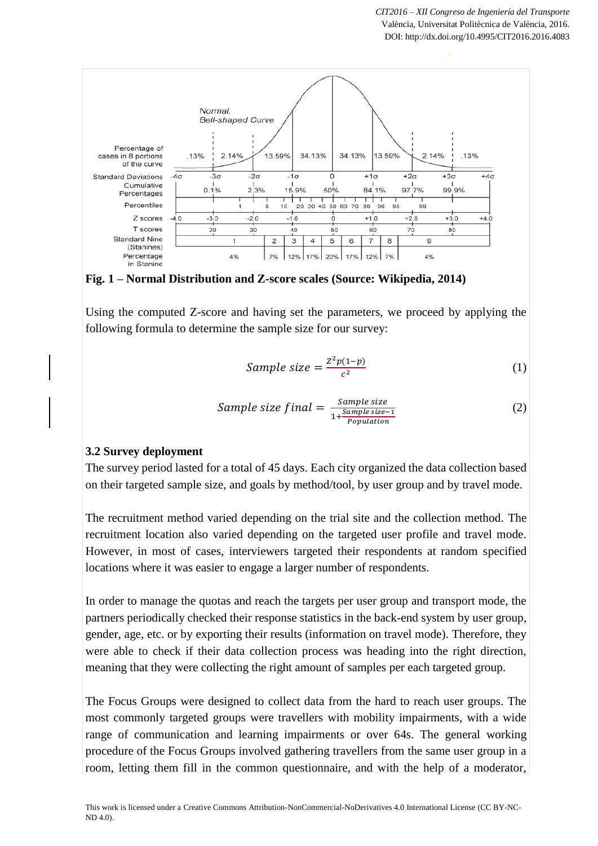



Using the computed Z-score and having set the parameters, we proceed by applying the following formula to determine the sample size for our survey:

Sample size = 
$$
\frac{Z^2 p(1-p)}{c^2}
$$
 (1)

Sample size 
$$
final = \frac{Sample size}{1 + \frac{Sample size - 1}{Population}}
$$
 (2)

#### **3.2 Survey deployment**

The survey period lasted for a total of 45 days. Each city organized the data collection based on their targeted sample size, and goals by method/tool, by user group and by travel mode.

The recruitment method varied depending on the trial site and the collection method. The recruitment location also varied depending on the targeted user profile and travel mode. However, in most of cases, interviewers targeted their respondents at random specified locations where it was easier to engage a larger number of respondents.

In order to manage the quotas and reach the targets per user group and transport mode, the partners periodically checked their response statistics in the back-end system by user group, gender, age, etc. or by exporting their results (information on travel mode). Therefore, they were able to check if their data collection process was heading into the right direction, meaning that they were collecting the right amount of samples per each targeted group.

The Focus Groups were designed to collect data from the hard to reach user groups. The most commonly targeted groups were travellers with mobility impairments, with a wide range of communication and learning impairments or over 64s. The general working procedure of the Focus Groups involved gathering travellers from the same user group in a room, letting them fill in the common questionnaire, and with the help of a moderator,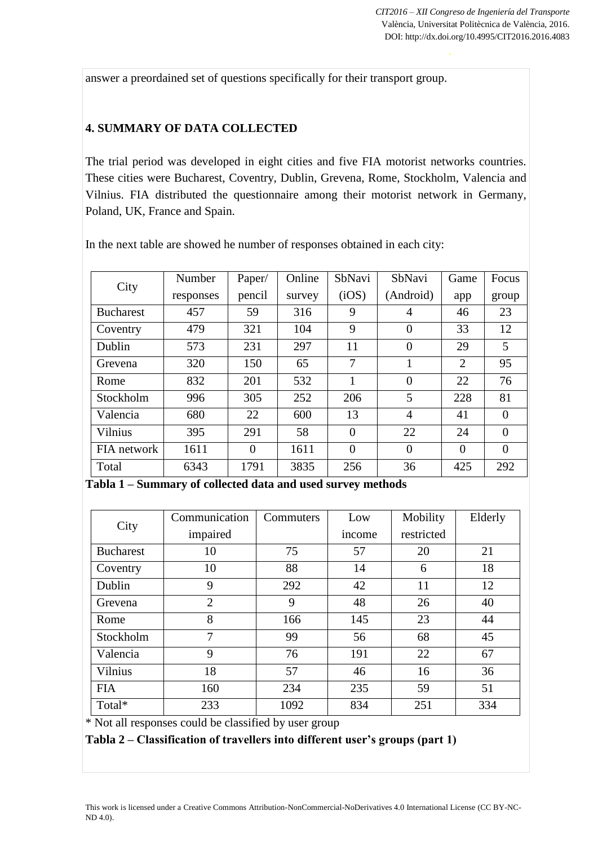answer a preordained set of questions specifically for their transport group.

## **4. SUMMARY OF DATA COLLECTED**

The trial period was developed in eight cities and five FIA motorist networks countries. These cities were Bucharest, Coventry, Dublin, Grevena, Rome, Stockholm, Valencia and Vilnius. FIA distributed the questionnaire among their motorist network in Germany, Poland, UK, France and Spain.

| City             | Number    | Paper/   | Online | SbNavi         | SbNavi         | Game     | Focus    |
|------------------|-----------|----------|--------|----------------|----------------|----------|----------|
|                  | responses | pencil   | survey | (iOS)          | (Android)      | app      | group    |
| <b>Bucharest</b> | 457       | 59       | 316    | 9              | 4              | 46       | 23       |
| Coventry         | 479       | 321      | 104    | 9              | $\theta$       | 33       | 12       |
| Dublin           | 573       | 231      | 297    | 11             | $\Omega$       | 29       | 5        |
| Grevena          | 320       | 150      | 65     | 7              | 1              | 2        | 95       |
| Rome             | 832       | 201      | 532    |                | $\theta$       | 22       | 76       |
| Stockholm        | 996       | 305      | 252    | 206            | 5              | 228      | 81       |
| Valencia         | 680       | 22       | 600    | 13             | $\overline{4}$ | 41       | $\Omega$ |
| Vilnius          | 395       | 291      | 58     | $\Omega$       | 22             | 24       | $\Omega$ |
| FIA network      | 1611      | $\theta$ | 1611   | $\overline{0}$ | $\theta$       | $\theta$ | $\Omega$ |
| Total            | 6343      | 1791     | 3835   | 256            | 36             | 425      | 292      |

In the next table are showed he number of responses obtained in each city:

**Tabla 1 – Summary of collected data and used survey methods**

| City             | Communication  | Commuters | Low    | Mobility   | Elderly |
|------------------|----------------|-----------|--------|------------|---------|
|                  | impaired       |           | income | restricted |         |
| <b>Bucharest</b> | 10             | 75        | 57     | 20         | 21      |
| Coventry         | 10             | 88        | 14     | 6          | 18      |
| Dublin           | 9              | 292       | 42     | 11         | 12      |
| Grevena          | $\overline{2}$ | 9         | 48     | 26         | 40      |
| Rome             | 8              | 166       | 145    | 23         | 44      |
| Stockholm        | 7              | 99        | 56     | 68         | 45      |
| Valencia         | 9              | 76        | 191    | 22         | 67      |
| Vilnius          | 18             | 57        | 46     | 16         | 36      |
| <b>FIA</b>       | 160            | 234       | 235    | 59         | 51      |
| Total*           | 233            | 1092      | 834    | 251        | 334     |

\* Not all responses could be classified by user group

**Tabla 2 – Classification of travellers into different user's groups (part 1)**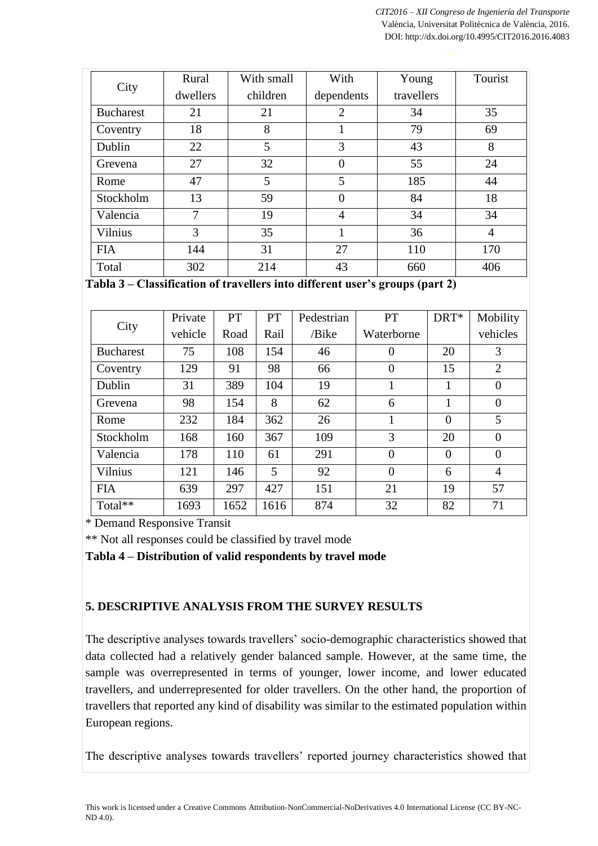| City             | Rural    | With small | With           | Young      | Tourist        |
|------------------|----------|------------|----------------|------------|----------------|
|                  | dwellers | children   | dependents     | travellers |                |
| <b>Bucharest</b> | 21       | 21         | $\overline{2}$ | 34         | 35             |
| Coventry         | 18       | 8          |                | 79         | 69             |
| Dublin           | 22       | 5          | 3              | 43         | 8              |
| Grevena          | 27       | 32         | $\theta$       | 55         | 24             |
| Rome             | 47       | 5          | 5              | 185        | 44             |
| Stockholm        | 13       | 59         | $\overline{0}$ | 84         | 18             |
| Valencia         | 7        | 19         | 4              | 34         | 34             |
| Vilnius          | 3        | 35         |                | 36         | $\overline{4}$ |
| <b>FIA</b>       | 144      | 31         | 27             | 110        | 170            |
| Total            | 302      | 214        | 43             | 660        | 406            |

**Tabla 3 – Classification of travellers into different user's groups (part 2)**

| City             | Private | <b>PT</b> | <b>PT</b> | Pedestrian | <b>PT</b>      | DRT*     | Mobility       |
|------------------|---------|-----------|-----------|------------|----------------|----------|----------------|
|                  | vehicle | Road      | Rail      | /Bike      | Waterborne     |          | vehicles       |
| <b>Bucharest</b> | 75      | 108       | 154       | 46         | $\theta$       | 20       | 3              |
| Coventry         | 129     | 91        | 98        | 66         | 0              | 15       | $\overline{2}$ |
| Dublin           | 31      | 389       | 104       | 19         |                |          | $\overline{0}$ |
| Grevena          | 98      | 154       | 8         | 62         | 6              | 1        | $\theta$       |
| Rome             | 232     | 184       | 362       | 26         | 1              | $\theta$ | 5              |
| Stockholm        | 168     | 160       | 367       | 109        | 3              | 20       | $\overline{0}$ |
| Valencia         | 178     | 110       | 61        | 291        | $\theta$       | $\theta$ | $\overline{0}$ |
| <b>Vilnius</b>   | 121     | 146       | 5         | 92         | $\overline{0}$ | 6        | $\overline{4}$ |
| <b>FIA</b>       | 639     | 297       | 427       | 151        | 21             | 19       | 57             |
| Total**          | 1693    | 1652      | 1616      | 874        | 32             | 82       | 71             |

\* Demand Responsive Transit

\*\* Not all responses could be classified by travel mode

**Tabla 4 – Distribution of valid respondents by travel mode**

# **5. DESCRIPTIVE ANALYSIS FROM THE SURVEY RESULTS**

The descriptive analyses towards travellers' socio-demographic characteristics showed that data collected had a relatively gender balanced sample. However, at the same time, the sample was overrepresented in terms of younger, lower income, and lower educated travellers, and underrepresented for older travellers. On the other hand, the proportion of travellers that reported any kind of disability was similar to the estimated population within European regions.

The descriptive analyses towards travellers' reported journey characteristics showed that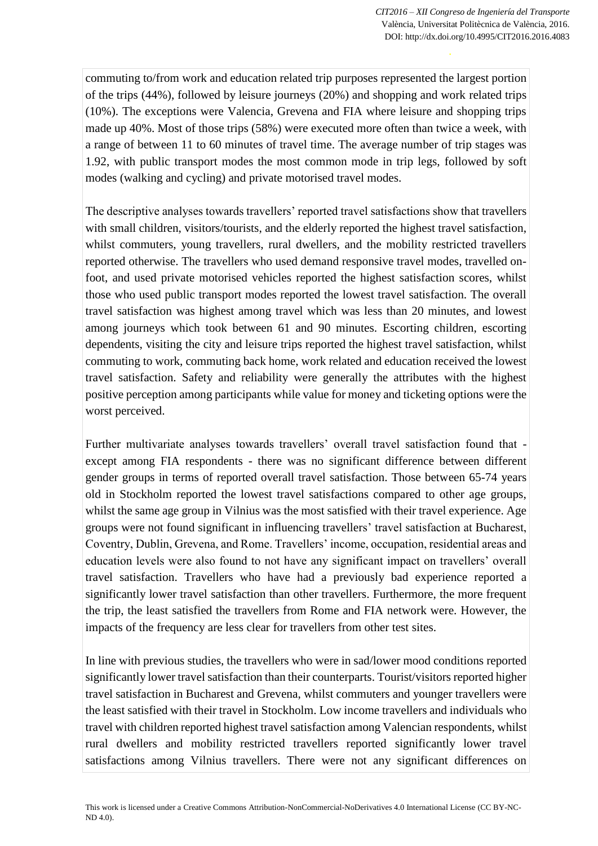commuting to/from work and education related trip purposes represented the largest portion of the trips (44%), followed by leisure journeys (20%) and shopping and work related trips (10%). The exceptions were Valencia, Grevena and FIA where leisure and shopping trips made up 40%. Most of those trips (58%) were executed more often than twice a week, with a range of between 11 to 60 minutes of travel time. The average number of trip stages was 1.92, with public transport modes the most common mode in trip legs, followed by soft modes (walking and cycling) and private motorised travel modes.

The descriptive analyses towards travellers' reported travel satisfactions show that travellers with small children, visitors/tourists, and the elderly reported the highest travel satisfaction, whilst commuters, young travellers, rural dwellers, and the mobility restricted travellers reported otherwise. The travellers who used demand responsive travel modes, travelled onfoot, and used private motorised vehicles reported the highest satisfaction scores, whilst those who used public transport modes reported the lowest travel satisfaction. The overall travel satisfaction was highest among travel which was less than 20 minutes, and lowest among journeys which took between 61 and 90 minutes. Escorting children, escorting dependents, visiting the city and leisure trips reported the highest travel satisfaction, whilst commuting to work, commuting back home, work related and education received the lowest travel satisfaction. Safety and reliability were generally the attributes with the highest positive perception among participants while value for money and ticketing options were the worst perceived.

Further multivariate analyses towards travellers' overall travel satisfaction found that except among FIA respondents - there was no significant difference between different gender groups in terms of reported overall travel satisfaction. Those between 65-74 years old in Stockholm reported the lowest travel satisfactions compared to other age groups, whilst the same age group in Vilnius was the most satisfied with their travel experience. Age groups were not found significant in influencing travellers' travel satisfaction at Bucharest, Coventry, Dublin, Grevena, and Rome. Travellers' income, occupation, residential areas and education levels were also found to not have any significant impact on travellers' overall travel satisfaction. Travellers who have had a previously bad experience reported a significantly lower travel satisfaction than other travellers. Furthermore, the more frequent the trip, the least satisfied the travellers from Rome and FIA network were. However, the impacts of the frequency are less clear for travellers from other test sites.

In line with previous studies, the travellers who were in sad/lower mood conditions reported significantly lower travel satisfaction than their counterparts. Tourist/visitors reported higher travel satisfaction in Bucharest and Grevena, whilst commuters and younger travellers were the least satisfied with their travel in Stockholm. Low income travellers and individuals who travel with children reported highest travel satisfaction among Valencian respondents, whilst rural dwellers and mobility restricted travellers reported significantly lower travel satisfactions among Vilnius travellers. There were not any significant differences on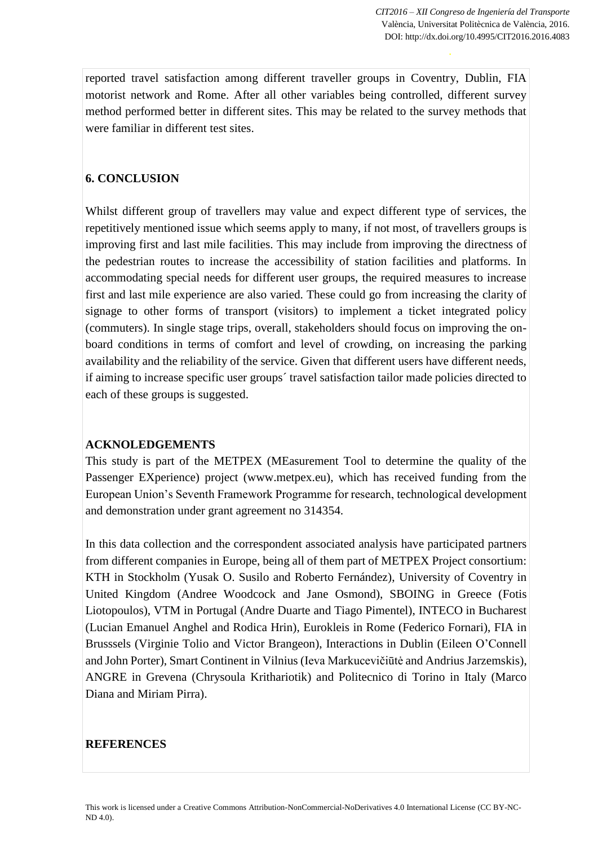reported travel satisfaction among different traveller groups in Coventry, Dublin, FIA motorist network and Rome. After all other variables being controlled, different survey method performed better in different sites. This may be related to the survey methods that were familiar in different test sites.

## **6. CONCLUSION**

Whilst different group of travellers may value and expect different type of services, the repetitively mentioned issue which seems apply to many, if not most, of travellers groups is improving first and last mile facilities. This may include from improving the directness of the pedestrian routes to increase the accessibility of station facilities and platforms. In accommodating special needs for different user groups, the required measures to increase first and last mile experience are also varied. These could go from increasing the clarity of signage to other forms of transport (visitors) to implement a ticket integrated policy (commuters). In single stage trips, overall, stakeholders should focus on improving the onboard conditions in terms of comfort and level of crowding, on increasing the parking availability and the reliability of the service. Given that different users have different needs, if aiming to increase specific user groups´ travel satisfaction tailor made policies directed to each of these groups is suggested.

## **ACKNOLEDGEMENTS**

This study is part of the METPEX (MEasurement Tool to determine the quality of the Passenger EXperience) project (www.metpex.eu), which has received funding from the European Union's Seventh Framework Programme for research, technological development and demonstration under grant agreement no 314354.

In this data collection and the correspondent associated analysis have participated partners from different companies in Europe, being all of them part of METPEX Project consortium: KTH in Stockholm (Yusak O. Susilo and Roberto Fernández), University of Coventry in United Kingdom (Andree Woodcock and Jane Osmond), SBOING in Greece (Fotis Liotopoulos), VTM in Portugal (Andre Duarte and Tiago Pimentel), INTECO in Bucharest (Lucian Emanuel Anghel and Rodica Hrin), Eurokleis in Rome (Federico Fornari), FIA in Brusssels (Virginie Tolio and Victor Brangeon), Interactions in Dublin (Eileen O'Connell and John Porter), Smart Continent in Vilnius (Ieva Markucevičiūtė and Andrius Jarzemskis), ANGRE in Grevena (Chrysoula Krithariotik) and Politecnico di Torino in Italy (Marco Diana and Miriam Pirra).

## **REFERENCES**